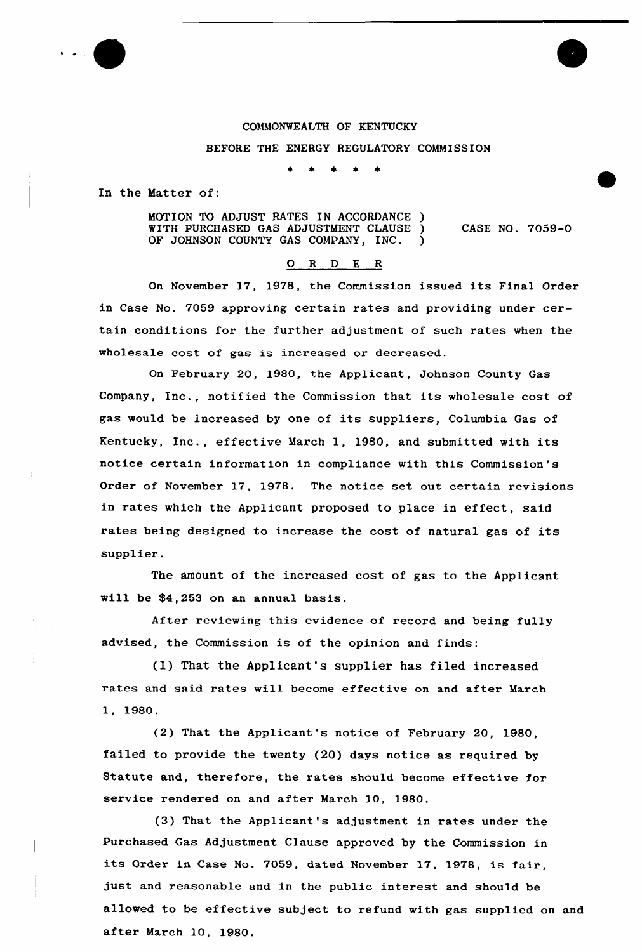## COMMONWEALTH OF KENTUCKY

## BEFORE THE ENERGY REGULATORY COMMISSION

In the Matter of:

MOTION TO ADJUST RATES IN ACCORDANCE ) WITH PURCHASED GAS ADJUSTMENT CLAUSE ) OF JOHNSON COUNTY GAS COMPANY, INC. CASE NO. 7059-0

## 0 R <sup>D</sup> E <sup>R</sup>

On November 17, 1978, the Commission issued its Final Order in Case No. 7059 approving certain rates and providing under certain conditions for the further adjustment of such rates when the wholesale cost of gas is increased or decreased.

On February 20, 1980, the Applicant, Johnson County Gas Company, Inc., notified the Commission that its wholesale cost of gas would be increased by one of its suppliers, Columbia Gas of Kentucky, Inc., effective March 1, 1980, and submitted with its notice certain information in compliance with this Commission's Order of November 17, 1978. The notice set out certain revisions in rates which the Applicant proposed to place in effect, said rates being designed to increase the cost of natural gas of its supplier.

The amount of the increased cost of gas to the Applicant will be \$4,253 on an annual basis.

After reviewing this evidence of record and being fully advised, the Commission is of the opinion and finds:

(I) That the Applicant's supplier has filed increased rates and said rates will become effective on and after March 1, 1980.

(2) That the Applicant's notice of February 20, 1980, failed to provide the twenty (20) days notice as required by Statute and, therefore, the rates should become effective for service rendered on and after March 10, 1980.

(3) That the Applicant's adjustment in rates under the Purchased Gas Adjustment Clause approved by the Commission in its Order in Case No. 7059, dated November 17, 1978, is fair, just and reasonable and in the public interest and should be allowed to be effective subject to refund with gas supplied on and after March 10, 1980.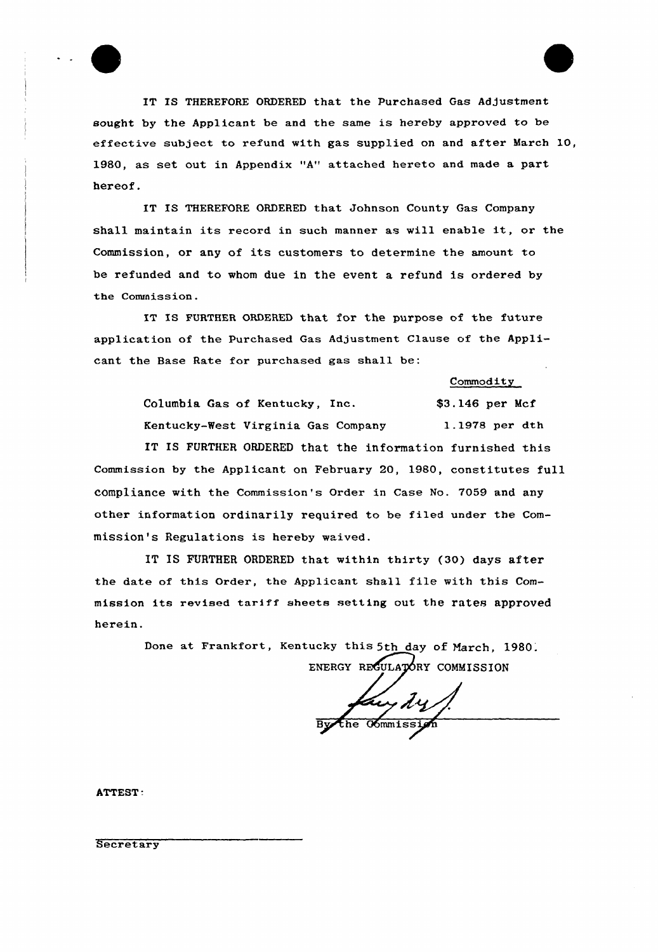

IT IS THEREFORE ORDERED that the Purchased Gas Adjustment sought by the Applicant be and the same is hereby approved to be effective subject to refund with gas supplied on and after March 10, 1980, as set out in Appendix "A" attached hereto and made a part hereof.

IT IS THEREFORE ORDERED that Johnson County Gas Company shall maintain its record in such manner as will enable it, or the Commission, or any of its customers to determine the amount to be refunded and to whom due in the event a refund is ordered by the Commission.

IT IS FURTHER ORDERED that for the purpose of the future application of the Purchased Gas Adjustment Clause of the Applicant the Base Rate for purchased gas shall be:

Commodity

Columbia Gas of Kentucky, Inc. \$3.146 per Mcf Kentucky-West Virginia Gas Company 1.1978 per dth IT IS FURTHER ORDERED that the information furnished this Commission by the Applicant on February 20, 1980, constitutes full compliance with the Commission's Order in Case No. 7059 and any other information ordinarily required to be filed under the Commission's Regulations is hereby waived.

IT IS FURTHER ORDERED that within thirty (30) days after the date of this Order, the Applicant shall file with this Commission its revised tariff sheets setting out the rates approved herein.

> Done at Frankfort, Kentucky this 5th day of March, 1980. ENERGY REGULATORY COMMISSION

Kuy dy<br>e commission

ATTEST.

**Secretary**